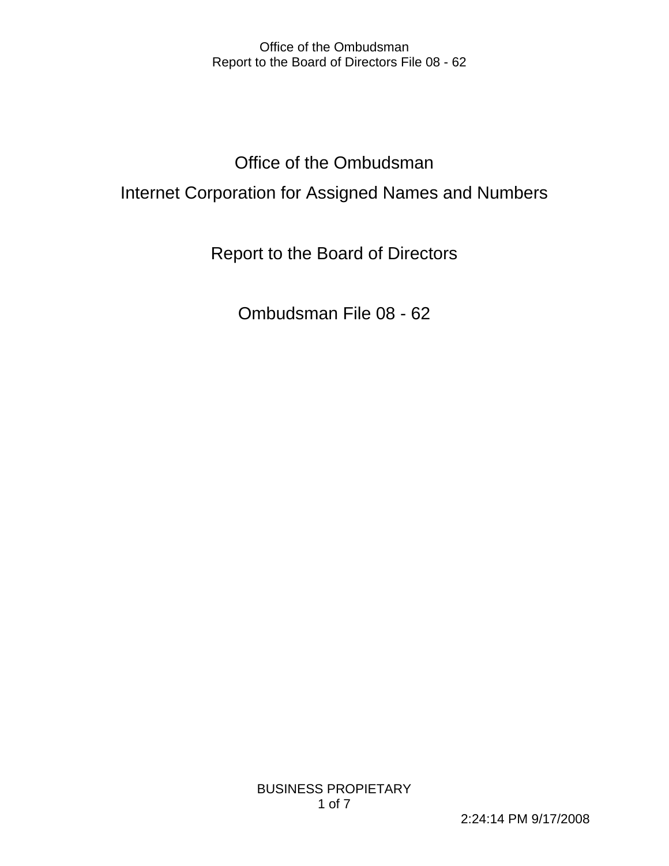# Office of the Ombudsman Internet Corporation for Assigned Names and Numbers

Report to the Board of Directors

Ombudsman File 08 - 62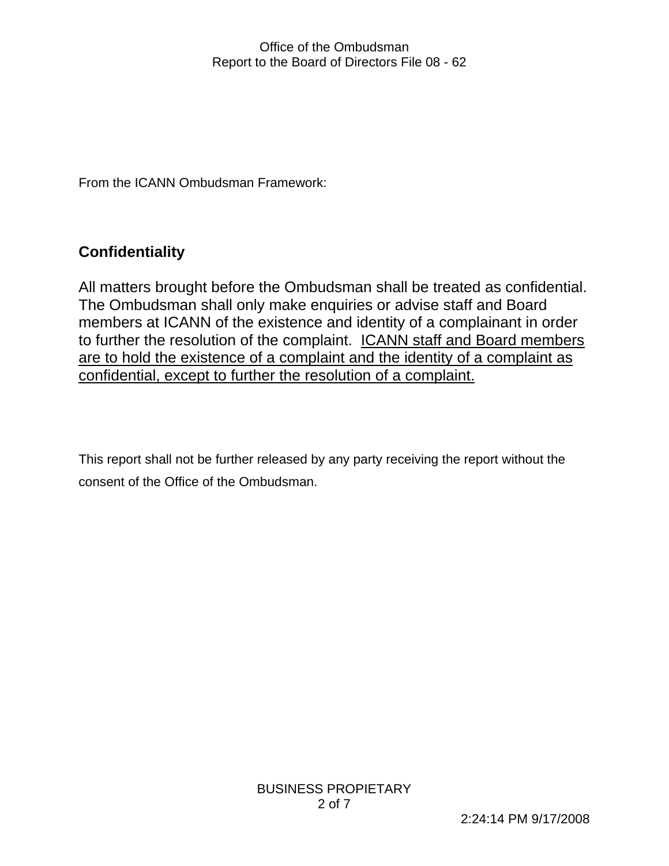From the ICANN Ombudsman Framework:

# **Confidentiality**

All matters brought before the Ombudsman shall be treated as confidential. The Ombudsman shall only make enquiries or advise staff and Board members at ICANN of the existence and identity of a complainant in order to further the resolution of the complaint. **ICANN staff and Board members** are to hold the existence of a complaint and the identity of a complaint as confidential, except to further the resolution of a complaint.

This report shall not be further released by any party receiving the report without the consent of the Office of the Ombudsman.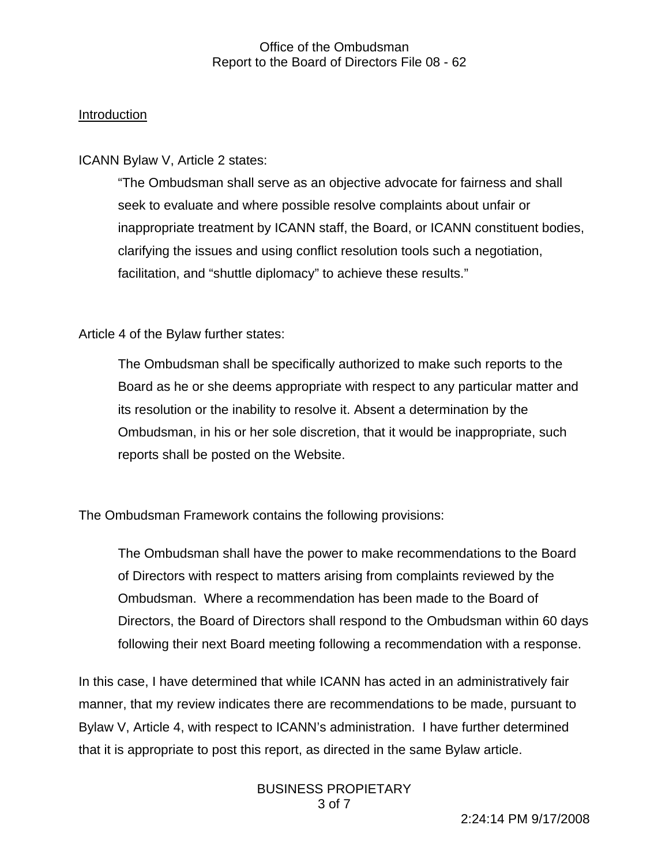#### Introduction

ICANN Bylaw V, Article 2 states:

"The Ombudsman shall serve as an objective advocate for fairness and shall seek to evaluate and where possible resolve complaints about unfair or inappropriate treatment by ICANN staff, the Board, or ICANN constituent bodies, clarifying the issues and using conflict resolution tools such a negotiation, facilitation, and "shuttle diplomacy" to achieve these results."

Article 4 of the Bylaw further states:

The Ombudsman shall be specifically authorized to make such reports to the Board as he or she deems appropriate with respect to any particular matter and its resolution or the inability to resolve it. Absent a determination by the Ombudsman, in his or her sole discretion, that it would be inappropriate, such reports shall be posted on the Website.

The Ombudsman Framework contains the following provisions:

The Ombudsman shall have the power to make recommendations to the Board of Directors with respect to matters arising from complaints reviewed by the Ombudsman. Where a recommendation has been made to the Board of Directors, the Board of Directors shall respond to the Ombudsman within 60 days following their next Board meeting following a recommendation with a response.

In this case, I have determined that while ICANN has acted in an administratively fair manner, that my review indicates there are recommendations to be made, pursuant to Bylaw V, Article 4, with respect to ICANN's administration. I have further determined that it is appropriate to post this report, as directed in the same Bylaw article.

> BUSINESS PROPIETARY 3 of 7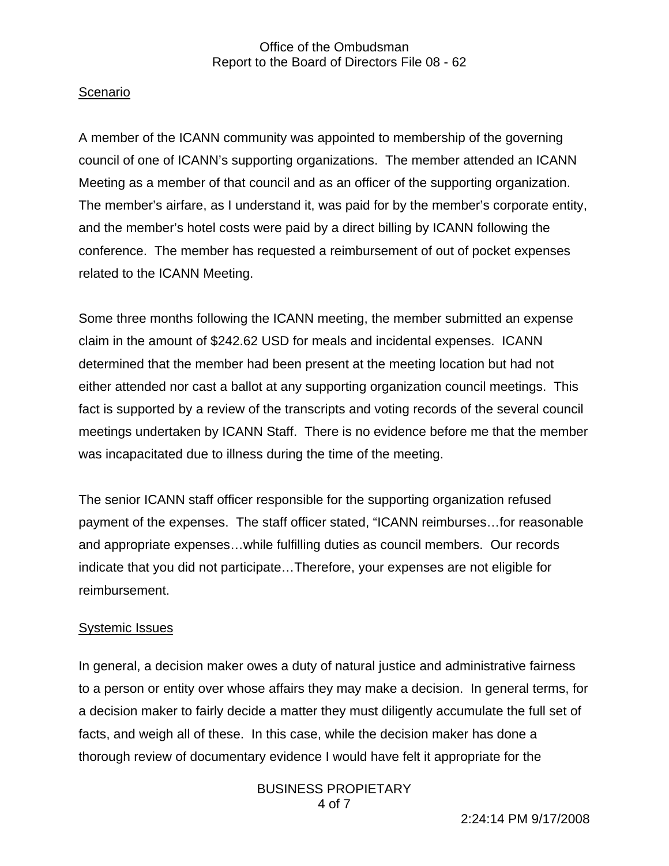# Scenario

A member of the ICANN community was appointed to membership of the governing council of one of ICANN's supporting organizations. The member attended an ICANN Meeting as a member of that council and as an officer of the supporting organization. The member's airfare, as I understand it, was paid for by the member's corporate entity, and the member's hotel costs were paid by a direct billing by ICANN following the conference. The member has requested a reimbursement of out of pocket expenses related to the ICANN Meeting.

Some three months following the ICANN meeting, the member submitted an expense claim in the amount of \$242.62 USD for meals and incidental expenses. ICANN determined that the member had been present at the meeting location but had not either attended nor cast a ballot at any supporting organization council meetings. This fact is supported by a review of the transcripts and voting records of the several council meetings undertaken by ICANN Staff. There is no evidence before me that the member was incapacitated due to illness during the time of the meeting.

The senior ICANN staff officer responsible for the supporting organization refused payment of the expenses. The staff officer stated, "ICANN reimburses…for reasonable and appropriate expenses…while fulfilling duties as council members. Our records indicate that you did not participate…Therefore, your expenses are not eligible for reimbursement.

# Systemic Issues

In general, a decision maker owes a duty of natural justice and administrative fairness to a person or entity over whose affairs they may make a decision. In general terms, for a decision maker to fairly decide a matter they must diligently accumulate the full set of facts, and weigh all of these. In this case, while the decision maker has done a thorough review of documentary evidence I would have felt it appropriate for the

> BUSINESS PROPIETARY 4 of 7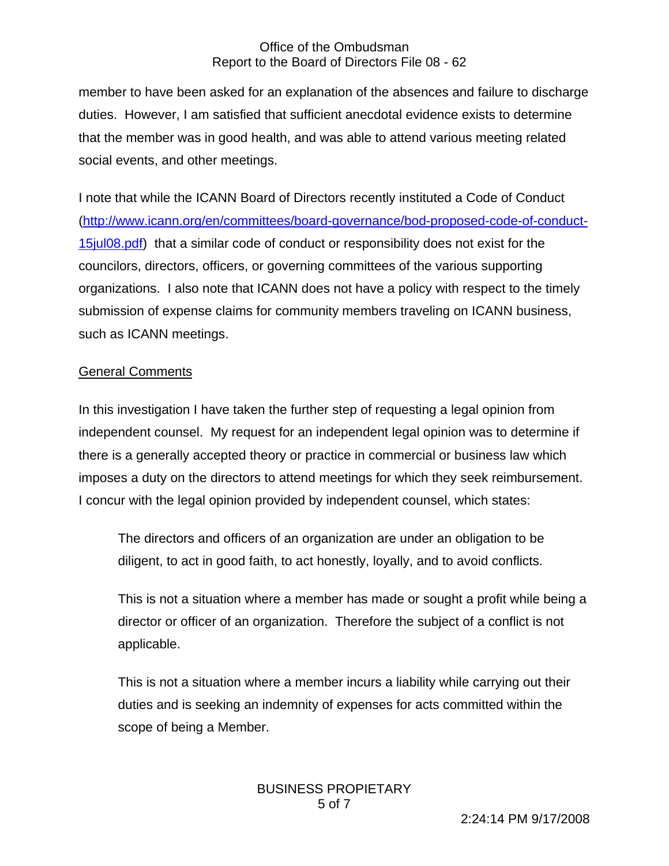member to have been asked for an explanation of the absences and failure to discharge duties. However, I am satisfied that sufficient anecdotal evidence exists to determine that the member was in good health, and was able to attend various meeting related social events, and other meetings.

I note that while the ICANN Board of Directors recently instituted a Code of Conduct (http://www.icann.org/en/committees/board-governance/bod-proposed-code-of-conduct-15jul08.pdf) that a similar code of conduct or responsibility does not exist for the councilors, directors, officers, or governing committees of the various supporting organizations. I also note that ICANN does not have a policy with respect to the timely submission of expense claims for community members traveling on ICANN business, such as ICANN meetings.

# General Comments

In this investigation I have taken the further step of requesting a legal opinion from independent counsel. My request for an independent legal opinion was to determine if there is a generally accepted theory or practice in commercial or business law which imposes a duty on the directors to attend meetings for which they seek reimbursement. I concur with the legal opinion provided by independent counsel, which states:

The directors and officers of an organization are under an obligation to be diligent, to act in good faith, to act honestly, loyally, and to avoid conflicts.

This is not a situation where a member has made or sought a profit while being a director or officer of an organization. Therefore the subject of a conflict is not applicable.

This is not a situation where a member incurs a liability while carrying out their duties and is seeking an indemnity of expenses for acts committed within the scope of being a Member.

> BUSINESS PROPIETARY 5 of 7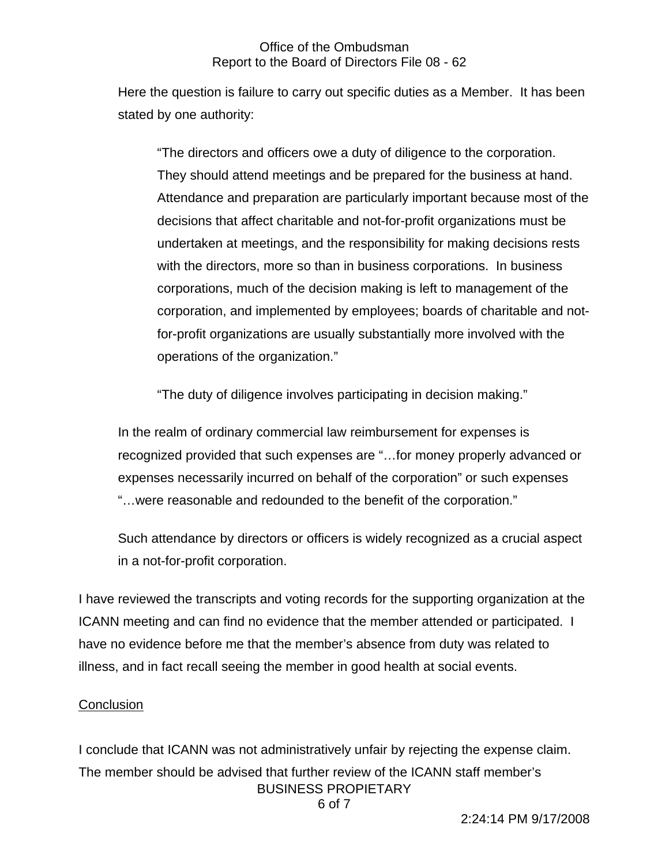Here the question is failure to carry out specific duties as a Member. It has been stated by one authority:

"The directors and officers owe a duty of diligence to the corporation. They should attend meetings and be prepared for the business at hand. Attendance and preparation are particularly important because most of the decisions that affect charitable and not-for-profit organizations must be undertaken at meetings, and the responsibility for making decisions rests with the directors, more so than in business corporations. In business corporations, much of the decision making is left to management of the corporation, and implemented by employees; boards of charitable and notfor-profit organizations are usually substantially more involved with the operations of the organization."

"The duty of diligence involves participating in decision making."

In the realm of ordinary commercial law reimbursement for expenses is recognized provided that such expenses are "…for money properly advanced or expenses necessarily incurred on behalf of the corporation" or such expenses "…were reasonable and redounded to the benefit of the corporation."

Such attendance by directors or officers is widely recognized as a crucial aspect in a not-for-profit corporation.

I have reviewed the transcripts and voting records for the supporting organization at the ICANN meeting and can find no evidence that the member attended or participated. I have no evidence before me that the member's absence from duty was related to illness, and in fact recall seeing the member in good health at social events.

# **Conclusion**

BUSINESS PROPIETARY 6 of 7 I conclude that ICANN was not administratively unfair by rejecting the expense claim. The member should be advised that further review of the ICANN staff member's

2:24:14 PM 9/17/2008